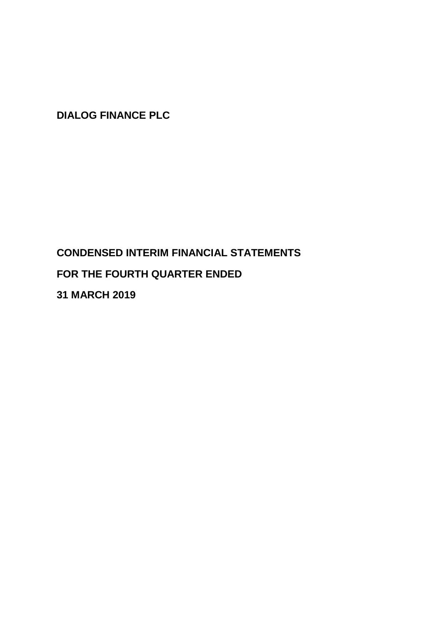# **CONDENSED INTERIM FINANCIAL STATEMENTS FOR THE FOURTH QUARTER ENDED**

**31 MARCH 2019**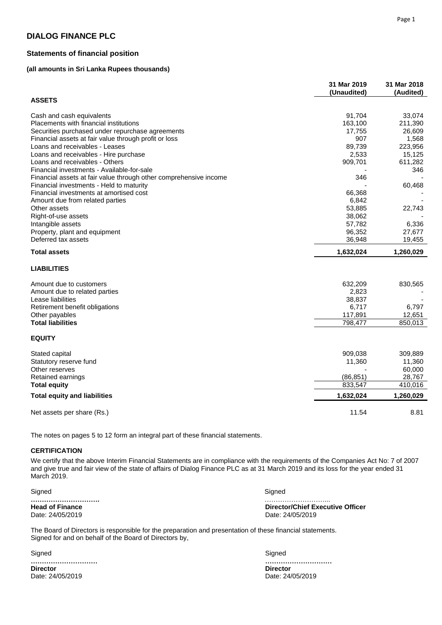# **Statements of financial position**

# **(all amounts in Sri Lanka Rupees thousands)**

|                                                                   | 31 Mar 2019<br>(Unaudited) | 31 Mar 2018<br>(Audited) |
|-------------------------------------------------------------------|----------------------------|--------------------------|
| <b>ASSETS</b>                                                     |                            |                          |
| Cash and cash equivalents                                         | 91,704                     | 33,074                   |
| Placements with financial institutions                            | 163,100                    | 211,390                  |
| Securities purchased under repurchase agreements                  | 17,755                     | 26,609                   |
| Financial assets at fair value through profit or loss             | 907                        | 1,568                    |
| Loans and receivables - Leases                                    | 89,739                     | 223,956                  |
| Loans and receivables - Hire purchase                             | 2,533                      | 15,125                   |
| Loans and receivables - Others                                    | 909,701                    | 611,282                  |
| Financial investments - Available-for-sale                        |                            | 346                      |
| Financial assets at fair value through other comprehensive income | 346                        |                          |
| Financial investments - Held to maturity                          |                            | 60,468                   |
| Financial investments at amortised cost                           | 66,368                     |                          |
| Amount due from related parties                                   | 6,842                      |                          |
| Other assets                                                      | 53,885                     | 22,743                   |
| Right-of-use assets                                               | 38,062                     |                          |
| Intangible assets                                                 | 57,782                     | 6,336                    |
| Property, plant and equipment                                     | 96,352                     | 27,677                   |
| Deferred tax assets                                               | 36,948                     | 19,455                   |
| <b>Total assets</b>                                               | 1,632,024                  | 1,260,029                |
| <b>LIABILITIES</b>                                                |                            |                          |
| Amount due to customers                                           | 632,209                    | 830,565                  |
| Amount due to related parties                                     | 2,823                      |                          |
| Lease liabilities                                                 | 38,837                     |                          |
| Retirement benefit obligations                                    | 6,717                      | 6,797                    |
| Other payables                                                    | 117,891                    | 12,651                   |
| <b>Total liabilities</b>                                          | 798,477                    | 850,013                  |
| <b>EQUITY</b>                                                     |                            |                          |
| Stated capital                                                    | 909,038                    | 309,889                  |
| Statutory reserve fund                                            | 11,360                     | 11,360                   |
| Other reserves                                                    |                            | 60,000                   |
| Retained earnings                                                 | (86, 851)                  | 28,767                   |
| <b>Total equity</b>                                               | 833,547                    | 410,016                  |
| <b>Total equity and liabilities</b>                               | 1,632,024                  | 1,260,029                |
| Net assets per share (Rs.)                                        | 11.54                      | 8.81                     |

The notes on pages 5 to 12 form an integral part of these financial statements.

### **CERTIFICATION**

We certify that the above Interim Financial Statements are in compliance with the requirements of the Companies Act No: 7 of 2007 and give true and fair view of the state of affairs of Dialog Finance PLC as at 31 March 2019 and its loss for the year ended 31 March 2019.

Signed Signed

**………………………….** ………………………...

**Head of Finance**<br>
Director/Chief Executive Officer<br>
Date: 24/05/2019<br>
Date: 24/05/2019 Date: 24/05/2019

The Board of Directors is responsible for the preparation and presentation of these financial statements. Signed for and on behalf of the Board of Directors by,

Signed

**………………………… Director Director** Date: 24/05/2019 Date: 24/05/2019

Signed

**…………………………**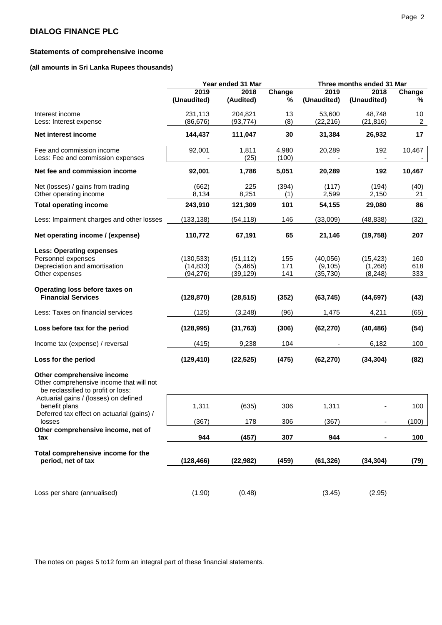# **Statements of comprehensive income**

# **(all amounts in Sri Lanka Rupees thousands)**

|                                                                                                              | Year ended 31 Mar |           |        |             | Three months ended 31 Mar |        |
|--------------------------------------------------------------------------------------------------------------|-------------------|-----------|--------|-------------|---------------------------|--------|
|                                                                                                              | 2019              | 2018      | Change | 2019        | 2018                      | Change |
|                                                                                                              | (Unaudited)       | (Audited) | %      | (Unaudited) | (Unaudited)               | %      |
| Interest income                                                                                              | 231,113           | 204,821   | 13     | 53,600      | 48,748                    | 10     |
| Less: Interest expense                                                                                       | (86, 676)         | (93, 774) | (8)    | (22, 216)   | (21, 816)                 | 2      |
| Net interest income                                                                                          | 144,437           | 111,047   | 30     | 31,384      | 26,932                    | 17     |
| Fee and commission income                                                                                    | 92,001            | 1,811     | 4,980  | 20,289      | 192                       | 10,467 |
| Less: Fee and commission expenses                                                                            |                   | (25)      | (100)  |             |                           |        |
| Net fee and commission income                                                                                | 92,001            | 1,786     | 5,051  | 20,289      | 192                       | 10,467 |
| Net (losses) / gains from trading                                                                            | (662)             | 225       | (394)  | (117)       | (194)                     | (40)   |
| Other operating income                                                                                       | 8,134             | 8,251     | (1)    | 2,599       | 2,150                     | 21     |
| <b>Total operating income</b>                                                                                | 243,910           | 121,309   | 101    | 54,155      | 29,080                    | 86     |
| Less: Impairment charges and other losses                                                                    | (133, 138)        | (54, 118) | 146    | (33,009)    | (48, 838)                 | (32)   |
| Net operating income / (expense)                                                                             | 110,772           | 67,191    | 65     | 21,146      | (19, 758)                 | 207    |
| <b>Less: Operating expenses</b>                                                                              |                   |           |        |             |                           |        |
| Personnel expenses                                                                                           | (130, 533)        | (51, 112) | 155    | (40, 056)   | (15, 423)                 | 160    |
| Depreciation and amortisation                                                                                | (14, 833)         | (5,465)   | 171    | (9, 105)    | (1,268)                   | 618    |
| Other expenses                                                                                               | (94, 276)         | (39, 129) | 141    | (35, 730)   | (8, 248)                  | 333    |
| Operating loss before taxes on                                                                               |                   |           |        |             |                           |        |
| <b>Financial Services</b>                                                                                    | (128, 870)        | (28, 515) | (352)  | (63, 745)   | (44, 697)                 | (43)   |
| Less: Taxes on financial services                                                                            | (125)             | (3, 248)  | (96)   | 1,475       | 4,211                     | (65)   |
| Loss before tax for the period                                                                               | (128, 995)        | (31, 763) | (306)  | (62, 270)   | (40, 486)                 | (54)   |
| Income tax (expense) / reversal                                                                              | (415)             | 9,238     | 104    |             | 6,182                     | 100    |
| Loss for the period                                                                                          | (129, 410)        | (22, 525) | (475)  | (62, 270)   | (34, 304)                 | (82)   |
| Other comprehensive income<br>Other comprehensive income that will not<br>be reclassified to profit or loss: |                   |           |        |             |                           |        |
| Actuarial gains / (losses) on defined<br>benefit plans                                                       | 1,311             | (635)     | 306    | 1,311       |                           | 100    |
| Deferred tax effect on actuarial (gains) /<br>losses                                                         | (367)             | 178       | 306    | (367)       | $\overline{\phantom{a}}$  | (100)  |
| Other comprehensive income, net of<br>tax                                                                    | 944               | (457)     | 307    | 944         |                           | 100    |
|                                                                                                              |                   |           |        |             |                           |        |
| Total comprehensive income for the<br>period, net of tax                                                     | (128, 466)        | (22, 982) | (459)  | (61, 326)   | (34, 304)                 | (79)   |
|                                                                                                              |                   |           |        |             |                           |        |
| Loss per share (annualised)                                                                                  | (1.90)            | (0.48)    |        | (3.45)      | (2.95)                    |        |

The notes on pages 5 to12 form an integral part of these financial statements.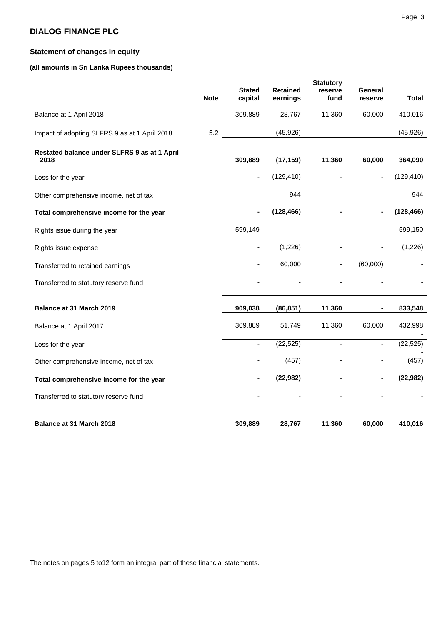# **Statement of changes in equity**

# **(all amounts in Sri Lanka Rupees thousands)**

| <b>Stated</b><br><b>Retained</b><br>reserve<br>General<br><b>Note</b><br>capital<br>earnings<br>fund<br>reserve<br>309,889<br>28,767<br>11,360<br>60,000<br>Balance at 1 April 2018<br>(45, 926)<br>5.2<br>$\blacksquare$<br>Impact of adopting SLFRS 9 as at 1 April 2018<br>$\blacksquare$<br>Restated balance under SLFRS 9 as at 1 April<br>2018<br>309,889<br>(17, 159)<br>11,360<br>60,000<br>(129, 410)<br>$\blacksquare$<br>$\overline{\phantom{a}}$<br>$\blacksquare$<br>Loss for the year<br>944<br>Other comprehensive income, net of tax<br>$\overline{\phantom{a}}$<br>(128, 466)<br>Total comprehensive income for the year<br>599,149<br>Rights issue during the year<br>(1,226)<br>Rights issue expense<br>60,000<br>(60,000)<br>Transferred to retained earnings<br>Transferred to statutory reserve fund<br>Balance at 31 March 2019<br>11,360<br>909,038<br>(86, 851)<br>309,889<br>11,360<br>60,000<br>51,749<br>Balance at 1 April 2017<br>(22, 525)<br>$\blacksquare$<br>$\blacksquare$<br>Loss for the year<br>(457)<br>Other comprehensive income, net of tax<br>(22, 982)<br>Total comprehensive income for the year |  | <b>Statutory</b> |              |
|-----------------------------------------------------------------------------------------------------------------------------------------------------------------------------------------------------------------------------------------------------------------------------------------------------------------------------------------------------------------------------------------------------------------------------------------------------------------------------------------------------------------------------------------------------------------------------------------------------------------------------------------------------------------------------------------------------------------------------------------------------------------------------------------------------------------------------------------------------------------------------------------------------------------------------------------------------------------------------------------------------------------------------------------------------------------------------------------------------------------------------------------------|--|------------------|--------------|
|                                                                                                                                                                                                                                                                                                                                                                                                                                                                                                                                                                                                                                                                                                                                                                                                                                                                                                                                                                                                                                                                                                                                               |  |                  |              |
|                                                                                                                                                                                                                                                                                                                                                                                                                                                                                                                                                                                                                                                                                                                                                                                                                                                                                                                                                                                                                                                                                                                                               |  |                  | <b>Total</b> |
|                                                                                                                                                                                                                                                                                                                                                                                                                                                                                                                                                                                                                                                                                                                                                                                                                                                                                                                                                                                                                                                                                                                                               |  |                  | 410,016      |
|                                                                                                                                                                                                                                                                                                                                                                                                                                                                                                                                                                                                                                                                                                                                                                                                                                                                                                                                                                                                                                                                                                                                               |  |                  | (45, 926)    |
|                                                                                                                                                                                                                                                                                                                                                                                                                                                                                                                                                                                                                                                                                                                                                                                                                                                                                                                                                                                                                                                                                                                                               |  |                  | 364,090      |
|                                                                                                                                                                                                                                                                                                                                                                                                                                                                                                                                                                                                                                                                                                                                                                                                                                                                                                                                                                                                                                                                                                                                               |  |                  | (129, 410)   |
|                                                                                                                                                                                                                                                                                                                                                                                                                                                                                                                                                                                                                                                                                                                                                                                                                                                                                                                                                                                                                                                                                                                                               |  |                  | 944          |
|                                                                                                                                                                                                                                                                                                                                                                                                                                                                                                                                                                                                                                                                                                                                                                                                                                                                                                                                                                                                                                                                                                                                               |  |                  | (128, 466)   |
|                                                                                                                                                                                                                                                                                                                                                                                                                                                                                                                                                                                                                                                                                                                                                                                                                                                                                                                                                                                                                                                                                                                                               |  |                  | 599,150      |
|                                                                                                                                                                                                                                                                                                                                                                                                                                                                                                                                                                                                                                                                                                                                                                                                                                                                                                                                                                                                                                                                                                                                               |  |                  | (1,226)      |
|                                                                                                                                                                                                                                                                                                                                                                                                                                                                                                                                                                                                                                                                                                                                                                                                                                                                                                                                                                                                                                                                                                                                               |  |                  |              |
|                                                                                                                                                                                                                                                                                                                                                                                                                                                                                                                                                                                                                                                                                                                                                                                                                                                                                                                                                                                                                                                                                                                                               |  |                  |              |
|                                                                                                                                                                                                                                                                                                                                                                                                                                                                                                                                                                                                                                                                                                                                                                                                                                                                                                                                                                                                                                                                                                                                               |  |                  | 833,548      |
|                                                                                                                                                                                                                                                                                                                                                                                                                                                                                                                                                                                                                                                                                                                                                                                                                                                                                                                                                                                                                                                                                                                                               |  |                  | 432,998      |
|                                                                                                                                                                                                                                                                                                                                                                                                                                                                                                                                                                                                                                                                                                                                                                                                                                                                                                                                                                                                                                                                                                                                               |  |                  | (22, 525)    |
|                                                                                                                                                                                                                                                                                                                                                                                                                                                                                                                                                                                                                                                                                                                                                                                                                                                                                                                                                                                                                                                                                                                                               |  |                  | (457)        |
|                                                                                                                                                                                                                                                                                                                                                                                                                                                                                                                                                                                                                                                                                                                                                                                                                                                                                                                                                                                                                                                                                                                                               |  |                  | (22, 982)    |
| Transferred to statutory reserve fund                                                                                                                                                                                                                                                                                                                                                                                                                                                                                                                                                                                                                                                                                                                                                                                                                                                                                                                                                                                                                                                                                                         |  |                  |              |
| Balance at 31 March 2018<br>309,889<br>28,767<br>11,360<br>60,000                                                                                                                                                                                                                                                                                                                                                                                                                                                                                                                                                                                                                                                                                                                                                                                                                                                                                                                                                                                                                                                                             |  |                  | 410,016      |

The notes on pages 5 to12 form an integral part of these financial statements.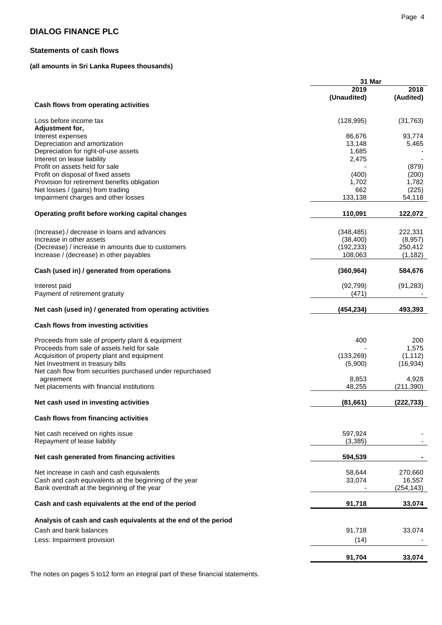# **Statements of cash flows**

# **(all amounts in Sri Lanka Rupees thousands)**

|                                                                | 31 Mar          |                     |  |  |  |
|----------------------------------------------------------------|-----------------|---------------------|--|--|--|
|                                                                | 2019            | 2018                |  |  |  |
|                                                                | (Unaudited)     | (Audited)           |  |  |  |
| Cash flows from operating activities                           |                 |                     |  |  |  |
| Loss before income tax                                         | (128, 995)      | (31, 763)           |  |  |  |
| Adjustment for,                                                |                 |                     |  |  |  |
| Interest expenses                                              | 86,676          | 93,774              |  |  |  |
| Depreciation and amortization                                  | 13,148          | 5,465               |  |  |  |
| Depreciation for right-of-use assets                           | 1,685           |                     |  |  |  |
| Interest on lease liability                                    | 2,475           |                     |  |  |  |
| Profit on assets held for sale                                 |                 | (879)               |  |  |  |
| Profit on disposal of fixed assets                             | (400)           | (200)               |  |  |  |
| Provision for retirement benefits obligation                   | 1,702           | 1,782               |  |  |  |
|                                                                | 662             |                     |  |  |  |
| Net losses / (gains) from trading                              |                 | (225)               |  |  |  |
| Impairment charges and other losses                            | 133,138         | 54,118              |  |  |  |
| Operating profit before working capital changes                | 110,091         | 122,072             |  |  |  |
|                                                                |                 |                     |  |  |  |
| (Increase) / decrease in loans and advances                    | (348, 485)      | 222,331             |  |  |  |
| Increase in other assets                                       | (38, 400)       | (8,957)             |  |  |  |
| (Decrease) / increase in amounts due to customers              | (192, 233)      | 250,412             |  |  |  |
| Increase / (decrease) in other payables                        | 108,063         | (1, 182)            |  |  |  |
| Cash (used in) / generated from operations                     | (360, 964)      | 584,676             |  |  |  |
|                                                                |                 |                     |  |  |  |
| Interest paid                                                  | (92, 799)       | (91, 283)           |  |  |  |
| Payment of retirement gratuity                                 | (471)           |                     |  |  |  |
| Net cash (used in) / generated from operating activities       | (454, 234)      | 493,393             |  |  |  |
| Cash flows from investing activities                           |                 |                     |  |  |  |
| Proceeds from sale of property plant & equipment               | 400             | 200                 |  |  |  |
| Proceeds from sale of assets held for sale                     |                 | 1,575               |  |  |  |
| Acquisition of property plant and equipment                    | (133, 269)      | (1, 112)            |  |  |  |
| Net Investment in treasury bills                               | (5,900)         | (16, 934)           |  |  |  |
| Net cash flow from securities purchased under repurchased      |                 |                     |  |  |  |
|                                                                |                 |                     |  |  |  |
| agreement<br>Net placements with financial institutions        | 8,853<br>48,255 | 4,928<br>(211, 390) |  |  |  |
|                                                                |                 |                     |  |  |  |
| Net cash used in investing activities                          | (81, 661)       | (222, 733)          |  |  |  |
| Cash flows from financing activities                           |                 |                     |  |  |  |
|                                                                |                 |                     |  |  |  |
| Net cash received on rights issue                              | 597,924         |                     |  |  |  |
| Repayment of lease liability                                   | (3,385)         |                     |  |  |  |
| Net cash generated from financing activities                   | 594,539         |                     |  |  |  |
|                                                                |                 |                     |  |  |  |
| Net increase in cash and cash equivalents                      | 58,644          | 270,660             |  |  |  |
| Cash and cash equivalents at the beginning of the year         | 33,074          | 16,557              |  |  |  |
| Bank overdraft at the beginning of the year                    |                 | (254, 143)          |  |  |  |
| Cash and cash equivalents at the end of the period             | 91,718          | 33,074              |  |  |  |
|                                                                |                 |                     |  |  |  |
| Analysis of cash and cash equivalents at the end of the period |                 |                     |  |  |  |
| Cash and bank balances                                         | 91,718          | 33,074              |  |  |  |
| Less: Impairment provision                                     | (14)            |                     |  |  |  |
|                                                                |                 |                     |  |  |  |
|                                                                | 91,704          | 33,074              |  |  |  |

The notes on pages 5 to12 form an integral part of these financial statements.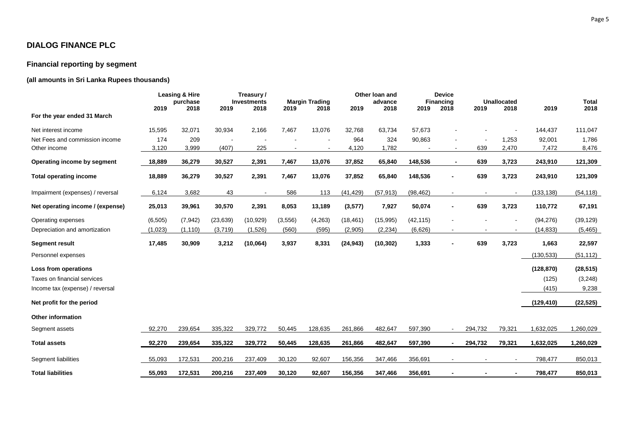# **Financial reporting by segment**

# **(all amounts in Sri Lanka Rupees thousands)**

|                                  |          | Leasing & Hire<br>purchase |                          | Treasury/<br><b>Investments</b> |         | <b>Margin Trading</b> |           | Other Ioan and<br>advance |           | <b>Device</b><br><b>Financing</b> |                          | <b>Unallocated</b> |            | <b>Total</b> |
|----------------------------------|----------|----------------------------|--------------------------|---------------------------------|---------|-----------------------|-----------|---------------------------|-----------|-----------------------------------|--------------------------|--------------------|------------|--------------|
| For the year ended 31 March      | 2019     | 2018                       | 2019                     | 2018                            | 2019    | 2018                  | 2019      | 2018                      | 2019      | 2018                              | 2019                     | 2018               | 2019       | 2018         |
| Net interest income              | 15,595   | 32,071                     | 30,934                   | 2,166                           | 7,467   | 13,076                | 32,768    | 63,734                    | 57,673    |                                   |                          |                    | 144,437    | 111,047      |
| Net Fees and commission income   | 174      | 209                        | $\overline{\phantom{a}}$ |                                 |         |                       | 964       | 324                       | 90,863    |                                   |                          | 1,253              | 92,001     | 1,786        |
| Other income                     | 3,120    | 3,999                      | (407)                    | 225                             |         |                       | 4,120     | 1,782                     |           |                                   | 639                      | 2,470              | 7,472      | 8,476        |
| Operating income by segment      | 18,889   | 36,279                     | 30,527                   | 2,391                           | 7,467   | 13,076                | 37,852    | 65,840                    | 148,536   | $\blacksquare$                    | 639                      | 3,723              | 243,910    | 121,309      |
| <b>Total operating income</b>    | 18,889   | 36,279                     | 30,527                   | 2,391                           | 7,467   | 13,076                | 37,852    | 65,840                    | 148,536   |                                   | 639                      | 3,723              | 243,910    | 121,309      |
| Impairment (expenses) / reversal | 6,124    | 3,682                      | 43                       | $\sim$                          | 586     | 113                   | (41, 429) | (57, 913)                 | (98, 462) | $\blacksquare$                    | $\blacksquare$           |                    | (133, 138) | (54, 118)    |
| Net operating income / (expense) | 25,013   | 39,961                     | 30,570                   | 2,391                           | 8,053   | 13,189                | (3, 577)  | 7,927                     | 50,074    | $\blacksquare$                    | 639                      | 3,723              | 110,772    | 67,191       |
| Operating expenses               | (6, 505) | (7, 942)                   | (23, 639)                | (10, 929)                       | (3,556) | (4,263)               | (18, 461) | (15,995)                  | (42, 115) |                                   |                          |                    | (94, 276)  | (39, 129)    |
| Depreciation and amortization    | (1,023)  | (1, 110)                   | (3,719)                  | (1,526)                         | (560)   | (595)                 | (2,905)   | (2, 234)                  | (6,626)   | $\blacksquare$                    | $\overline{\phantom{a}}$ | $\blacksquare$     | (14, 833)  | (5, 465)     |
| <b>Segment result</b>            | 17,485   | 30,909                     | 3,212                    | (10,064)                        | 3,937   | 8,331                 | (24, 943) | (10, 302)                 | 1,333     |                                   | 639                      | 3,723              | 1,663      | 22,597       |
| Personnel expenses               |          |                            |                          |                                 |         |                       |           |                           |           |                                   |                          |                    | (130, 533) | (51, 112)    |
| Loss from operations             |          |                            |                          |                                 |         |                       |           |                           |           |                                   |                          |                    | (128, 870) | (28, 515)    |
| Taxes on financial services      |          |                            |                          |                                 |         |                       |           |                           |           |                                   |                          |                    | (125)      | (3, 248)     |
| Income tax (expense) / reversal  |          |                            |                          |                                 |         |                       |           |                           |           |                                   |                          |                    | (415)      | 9,238        |
| Net profit for the period        |          |                            |                          |                                 |         |                       |           |                           |           |                                   |                          |                    | (129, 410) | (22, 525)    |
| <b>Other information</b>         |          |                            |                          |                                 |         |                       |           |                           |           |                                   |                          |                    |            |              |
| Segment assets                   | 92,270   | 239,654                    | 335,322                  | 329,772                         | 50,445  | 128,635               | 261,866   | 482,647                   | 597,390   | $\blacksquare$                    | 294,732                  | 79,321             | 1,632,025  | 1,260,029    |
| <b>Total assets</b>              | 92,270   | 239,654                    | 335,322                  | 329,772                         | 50,445  | 128,635               | 261,866   | 482,647                   | 597,390   | $\blacksquare$                    | 294,732                  | 79,321             | 1,632,025  | 1,260,029    |
| Segment liabilities              | 55,093   | 172,531                    | 200,216                  | 237,409                         | 30,120  | 92,607                | 156,356   | 347,466                   | 356,691   |                                   |                          |                    | 798,477    | 850,013      |
| <b>Total liabilities</b>         | 55,093   | 172,531                    | 200,216                  | 237,409                         | 30,120  | 92,607                | 156,356   | 347,466                   | 356,691   |                                   |                          |                    | 798,477    | 850,013      |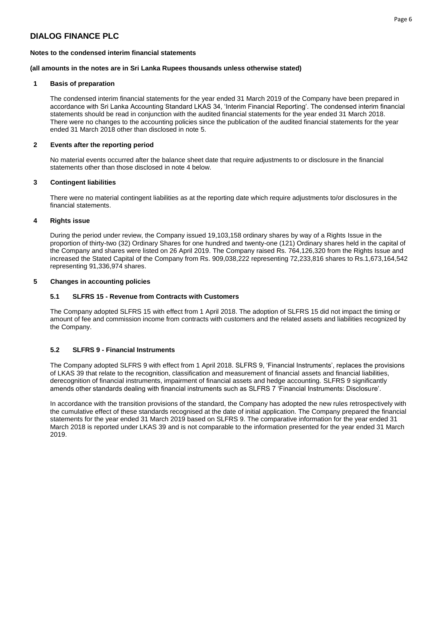# **Notes to the condensed interim financial statements**

### **(all amounts in the notes are in Sri Lanka Rupees thousands unless otherwise stated)**

# **1 Basis of preparation**

The condensed interim financial statements for the year ended 31 March 2019 of the Company have been prepared in accordance with Sri Lanka Accounting Standard LKAS 34, 'Interim Financial Reporting'. The condensed interim financial statements should be read in conjunction with the audited financial statements for the year ended 31 March 2018. There were no changes to the accounting policies since the publication of the audited financial statements for the year ended 31 March 2018 other than disclosed in note 5.

# **2 Events after the reporting period**

No material events occurred after the balance sheet date that require adjustments to or disclosure in the financial statements other than those disclosed in note 4 below.

# **3 Contingent liabilities**

There were no material contingent liabilities as at the reporting date which require adjustments to/or disclosures in the financial statements.

# **4 Rights issue**

During the period under review, the Company issued 19,103,158 ordinary shares by way of a Rights Issue in the proportion of thirty-two (32) Ordinary Shares for one hundred and twenty-one (121) Ordinary shares held in the capital of the Company and shares were listed on 26 April 2019. The Company raised Rs. 764,126,320 from the Rights Issue and increased the Stated Capital of the Company from Rs. 909,038,222 representing 72,233,816 shares to Rs.1,673,164,542 representing 91,336,974 shares.

# **5 Changes in accounting policies**

# **5.1 SLFRS 15 - Revenue from Contracts with Customers**

The Company adopted SLFRS 15 with effect from 1 April 2018. The adoption of SLFRS 15 did not impact the timing or amount of fee and commission income from contracts with customers and the related assets and liabilities recognized by the Company.

# **5.2 SLFRS 9 - Financial Instruments**

The Company adopted SLFRS 9 with effect from 1 April 2018. SLFRS 9, 'Financial Instruments', replaces the provisions of LKAS 39 that relate to the recognition, classification and measurement of financial assets and financial liabilities, derecognition of financial instruments, impairment of financial assets and hedge accounting. SLFRS 9 significantly amends other standards dealing with financial instruments such as SLFRS 7 'Financial Instruments: Disclosure'.

In accordance with the transition provisions of the standard, the Company has adopted the new rules retrospectively with the cumulative effect of these standards recognised at the date of initial application. The Company prepared the financial statements for the year ended 31 March 2019 based on SLFRS 9. The comparative information for the year ended 31 March 2018 is reported under LKAS 39 and is not comparable to the information presented for the year ended 31 March 2019.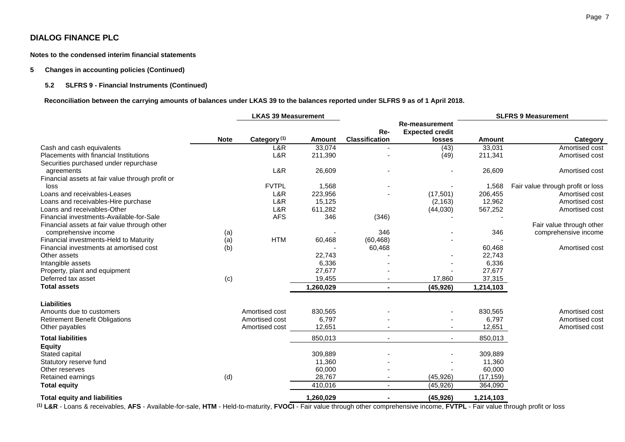**Notes to the condensed interim financial statements** 

#### **5 Changes in accounting policies (Continued)**

# **5.2 SLFRS 9 - Financial Instruments (Continued)**

 **Reconciliation between the carrying amounts of balances under LKAS 39 to the balances reported under SLFRS 9 as of 1 April 2018.**

|                                                  | <b>LKAS 39 Measurement</b> |                         |           |                              |                                                           | <b>SLFRS 9 Measurement</b> |                                   |  |
|--------------------------------------------------|----------------------------|-------------------------|-----------|------------------------------|-----------------------------------------------------------|----------------------------|-----------------------------------|--|
|                                                  | <b>Note</b>                | Category <sup>(1)</sup> | Amount    | Re-<br><b>Classification</b> | <b>Re-measurement</b><br><b>Expected credit</b><br>losses | <b>Amount</b>              | Category                          |  |
| Cash and cash equivalents                        |                            | L&R                     | 33,074    |                              | (43)                                                      | 33,031                     | Amortised cost                    |  |
| Placements with financial Institutions           |                            | L&R                     | 211,390   |                              | (49)                                                      | 211,341                    | Amortised cost                    |  |
| Securities purchased under repurchase            |                            |                         |           |                              |                                                           |                            |                                   |  |
| agreements                                       |                            | L&R                     | 26,609    |                              |                                                           | 26,609                     | Amortised cost                    |  |
| Financial assets at fair value through profit or |                            |                         |           |                              |                                                           |                            |                                   |  |
| loss                                             |                            | <b>FVTPL</b>            | 1,568     |                              |                                                           | 1,568                      | Fair value through profit or loss |  |
| Loans and receivables-Leases                     |                            | L&R                     | 223,956   |                              | (17, 501)                                                 | 206,455                    | Amortised cost                    |  |
| Loans and receivables-Hire purchase              |                            | L&R                     | 15,125    |                              | (2, 163)                                                  | 12,962                     | Amortised cost                    |  |
| Loans and receivables-Other                      |                            | L&R                     | 611,282   |                              | (44, 030)                                                 | 567,252                    | Amortised cost                    |  |
| Financial investments-Available-for-Sale         |                            | <b>AFS</b>              | 346       | (346)                        |                                                           |                            |                                   |  |
| Financial assets at fair value through other     |                            |                         |           |                              |                                                           |                            | Fair value through other          |  |
| comprehensive income                             | (a)                        |                         |           | 346                          |                                                           | 346                        | comprehensive income              |  |
| Financial investments-Held to Maturity           | (a)                        | <b>HTM</b>              | 60,468    | (60, 468)                    |                                                           |                            |                                   |  |
| Financial investments at amortised cost          | (b)                        |                         |           | 60,468                       |                                                           | 60,468                     | Amortised cost                    |  |
| Other assets                                     |                            |                         | 22,743    |                              |                                                           | 22,743                     |                                   |  |
| Intangible assets                                |                            |                         | 6,336     |                              |                                                           | 6,336                      |                                   |  |
| Property, plant and equipment                    |                            |                         | 27,677    |                              |                                                           | 27,677                     |                                   |  |
| Deferred tax asset                               | (c)                        |                         | 19,455    |                              | 17,860                                                    | 37,315                     |                                   |  |
| <b>Total assets</b>                              |                            |                         | 1,260,029 | $\blacksquare$               | (45, 926)                                                 | 1,214,103                  |                                   |  |
| <b>Liabilities</b>                               |                            |                         |           |                              |                                                           |                            |                                   |  |
| Amounts due to customers                         |                            | Amortised cost          | 830,565   |                              |                                                           | 830,565                    | Amortised cost                    |  |
| <b>Retirement Benefit Obligations</b>            |                            | Amortised cost          | 6,797     |                              |                                                           | 6,797                      | Amortised cost                    |  |
| Other payables                                   |                            | Amortised cost          | 12,651    |                              |                                                           | 12,651                     | Amortised cost                    |  |
| <b>Total liabilities</b>                         |                            |                         | 850,013   | $\overline{\phantom{a}}$     | $\overline{\phantom{a}}$                                  | 850,013                    |                                   |  |
| <b>Equity</b>                                    |                            |                         |           |                              |                                                           |                            |                                   |  |
| Stated capital                                   |                            |                         | 309,889   |                              |                                                           | 309,889                    |                                   |  |
| Statutory reserve fund                           |                            |                         | 11,360    |                              |                                                           | 11,360                     |                                   |  |
| Other reserves                                   |                            |                         | 60,000    |                              |                                                           | 60,000                     |                                   |  |
| Retained earnings                                | (d)                        |                         | 28,767    | $\blacksquare$               | (45, 926)                                                 | (17, 159)                  |                                   |  |
| <b>Total equity</b>                              |                            |                         | 410,016   | $\overline{\phantom{a}}$     | (45, 926)                                                 | 364,090                    |                                   |  |
| <b>Total equity and liabilities</b>              |                            |                         | 1.260.029 |                              | (45, 926)                                                 | 1,214,103                  |                                   |  |

**(1) L&R** - Loans & receivables, **AFS** - Available-for-sale, **HTM** - Held-to-maturity, **FVOCI** - Fair value through other comprehensive income, **FVTPL** - Fair value through profit or loss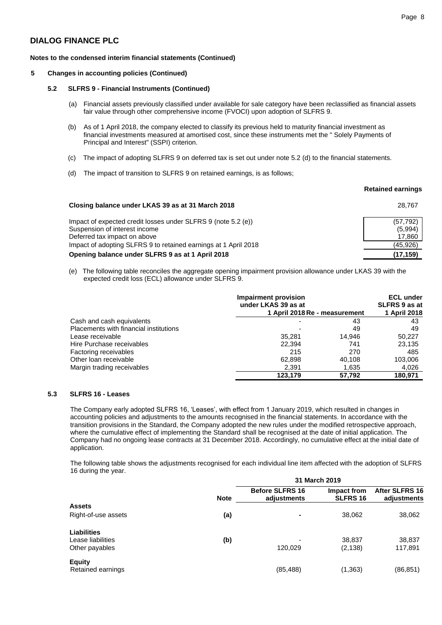#### **Notes to the condensed interim financial statements (Continued)**

### **5 Changes in accounting policies (Continued)**

#### **5.2 SLFRS 9 - Financial Instruments (Continued)**

- (a) Financial assets previously classified under available for sale category have been reclassified as financial assets fair value through other comprehensive income (FVOCI) upon adoption of SLFRS 9.
- (b) As of 1 April 2018, the company elected to classify its previous held to maturity financial investment as financial investments measured at amortised cost, since these instruments met the " Solely Payments of Principal and Interest" (SSPI) criterion.
- (c) The impact of adopting SLFRS 9 on deferred tax is set out under note 5.2 (d) to the financial statements.
- (d)The impact of transition to SLFRS 9 on retained earnings, is as follows;

**Closing balance under LKAS 39 as at 31 March 2018** 

#### **Retained earnings**

| , |
|---|

| Impact of expected credit losses under SLFRS 9 (note 5.2 (e))   | (57, 792) |
|-----------------------------------------------------------------|-----------|
| Suspension of interest income                                   | (5,994)   |
| Deferred tax impact on above                                    | 17.860    |
| Impact of adopting SLFRS 9 to retained earnings at 1 April 2018 | (45, 926) |
| Opening balance under SLFRS 9 as at 1 April 2018                | (17, 159) |

(e) The following table reconciles the aggregate opening impairment provision allowance under LKAS 39 with the expected credit loss (ECL) allowance under SLFRS 9.

|                                        | Impairment provision<br>under LKAS 39 as at |        | <b>ECL under</b><br>SLFRS 9 as at |
|----------------------------------------|---------------------------------------------|--------|-----------------------------------|
|                                        | 1 April 2018 Re - measurement               |        | 1 April 2018                      |
| Cash and cash equivalents              |                                             | 43     | 43                                |
| Placements with financial institutions |                                             | 49     | 49                                |
| Lease receivable                       | 35.281                                      | 14.946 | 50.227                            |
| Hire Purchase receivables              | 22.394                                      | 741    | 23,135                            |
| Factoring receivables                  | 215                                         | 270    | 485                               |
| Other loan receivable                  | 62,898                                      | 40.108 | 103,006                           |
| Margin trading receivables             | 2,391                                       | 1.635  | 4,026                             |
|                                        | 123.179                                     | 57.792 | 180.971                           |

# **5.3 SLFRS 16 - Leases**

The Company early adopted SLFRS 16, 'Leases', with effect from 1 January 2019, which resulted in changes in accounting policies and adjustments to the amounts recognised in the financial statements. In accordance with the transition provisions in the Standard, the Company adopted the new rules under the modified retrospective approach, where the cumulative effect of implementing the Standard shall be recognised at the date of initial application. The Company had no ongoing lease contracts at 31 December 2018. Accordingly, no cumulative effect at the initial date of application.

The following table shows the adjustments recognised for each individual line item affected with the adoption of SLFRS 16 during the year.

|                     |             | 31 March 2019                         |                                |                               |
|---------------------|-------------|---------------------------------------|--------------------------------|-------------------------------|
|                     | <b>Note</b> | <b>Before SLFRS 16</b><br>adjustments | Impact from<br><b>SLFRS 16</b> | After SLFRS 16<br>adjustments |
| <b>Assets</b>       |             |                                       |                                |                               |
| Right-of-use assets | (a)         | ۰                                     | 38,062                         | 38,062                        |
| <b>Liabilities</b>  |             |                                       |                                |                               |
| Lease liabilities   | (b)         |                                       | 38,837                         | 38,837                        |
| Other payables      |             | 120,029                               | (2, 138)                       | 117,891                       |
| <b>Equity</b>       |             |                                       |                                |                               |
| Retained earnings   |             | (85, 488)                             | (1, 363)                       | (86, 851)                     |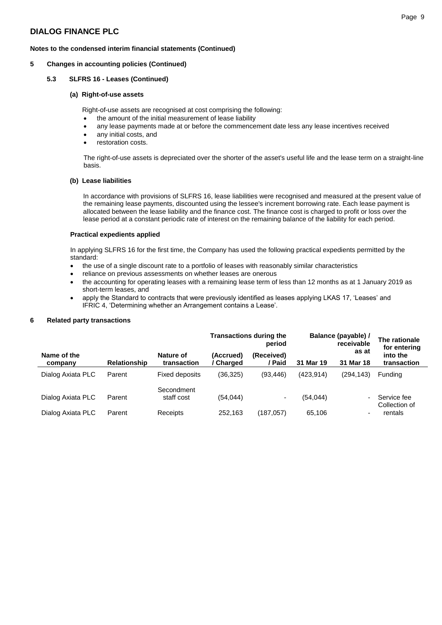# **Notes to the condensed interim financial statements (Continued)**

### **5 Changes in accounting policies (Continued)**

### **5.3 SLFRS 16 - Leases (Continued)**

### **(a) Right-of-use assets**

Right-of-use assets are recognised at cost comprising the following:

- the amount of the initial measurement of lease liability
- any lease payments made at or before the commencement date less any lease incentives received
- any initial costs, and
- restoration costs.

The right-of-use assets is depreciated over the shorter of the asset's useful life and the lease term on a straight-line basis.

#### **(b) Lease liabilities**

In accordance with provisions of SLFRS 16, lease liabilities were recognised and measured at the present value of the remaining lease payments, discounted using the lessee's increment borrowing rate. Each lease payment is allocated between the lease liability and the finance cost. The finance cost is charged to profit or loss over the lease period at a constant periodic rate of interest on the remaining balance of the liability for each period.

#### **Practical expedients applied**

In applying SLFRS 16 for the first time, the Company has used the following practical expedients permitted by the standard:

- the use of a single discount rate to a portfolio of leases with reasonably similar characteristics
- reliance on previous assessments on whether leases are onerous
- the accounting for operating leases with a remaining lease term of less than 12 months as at 1 January 2019 as short-term leases, and
- apply the Standard to contracts that were previously identified as leases applying LKAS 17, 'Leases' and IFRIC 4, 'Determining whether an Arrangement contains a Lease'.

#### **6 Related party transactions**

|                        |                     |                          |                        | <b>Transactions during the</b><br>period | Balance (payable) / | The rationale<br>for entering |                              |
|------------------------|---------------------|--------------------------|------------------------|------------------------------------------|---------------------|-------------------------------|------------------------------|
| Name of the<br>company | <b>Relationship</b> | Nature of<br>transaction | (Accrued)<br>' Charged | (Received)<br>/ Paid                     | 31 Mar 19           | as at<br>31 Mar 18            | into the<br>transaction      |
| Dialog Axiata PLC      | Parent              | Fixed deposits           | (36, 325)              | (93, 446)                                | (423.914)           | (294,143)                     | <b>Funding</b>               |
| Dialog Axiata PLC      | Parent              | Secondment<br>staff cost | (54, 044)              | ۰.                                       | (54, 044)           |                               | Service fee<br>Collection of |
| Dialog Axiata PLC      | Parent              | Receipts                 | 252.163                | (187, 057)                               | 65,106              | $\overline{\phantom{0}}$      | rentals                      |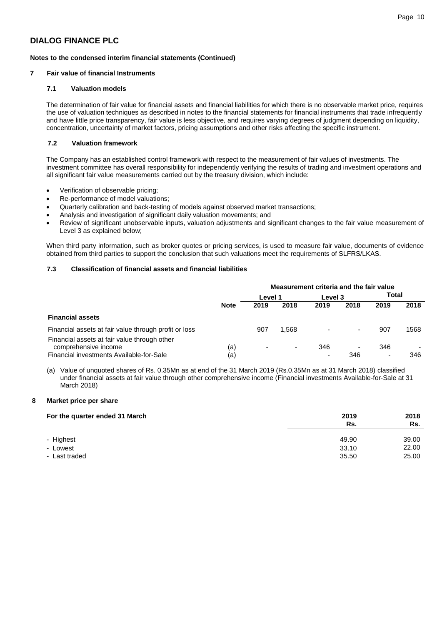# **Notes to the condensed interim financial statements (Continued)**

# **7 Fair value of financial Instruments**

### **7.1 Valuation models**

The determination of fair value for financial assets and financial liabilities for which there is no observable market price, requires the use of valuation techniques as described in notes to the financial statements for financial instruments that trade infrequently and have little price transparency, fair value is less objective, and requires varying degrees of judgment depending on liquidity, concentration, uncertainty of market factors, pricing assumptions and other risks affecting the specific instrument.

### **7.2 Valuation framework**

The Company has an established control framework with respect to the measurement of fair values of investments. The investment committee has overall responsibility for independently verifying the results of trading and investment operations and all significant fair value measurements carried out by the treasury division, which include:

- Verification of observable pricing;
- Re-performance of model valuations;
- Quarterly calibration and back-testing of models against observed market transactions;
- Analysis and investigation of significant daily valuation movements; and
- Review of significant unobservable inputs, valuation adjustments and significant changes to the fair value measurement of Level 3 as explained below;

When third party information, such as broker quotes or pricing services, is used to measure fair value, documents of evidence obtained from third parties to support the conclusion that such valuations meet the requirements of SLFRS/LKAS.

# **7.3 Classification of financial assets and financial liabilities**

|                                                                                                                  |             | Measurement criteria and the fair value |                          |         |          |                                 |      |  |  |
|------------------------------------------------------------------------------------------------------------------|-------------|-----------------------------------------|--------------------------|---------|----------|---------------------------------|------|--|--|
|                                                                                                                  |             | Level 1                                 |                          | Level 3 |          | Total                           |      |  |  |
|                                                                                                                  | <b>Note</b> | 2019                                    | 2018                     | 2019    | 2018     | 2019                            | 2018 |  |  |
| <b>Financial assets</b>                                                                                          |             |                                         |                          |         |          |                                 |      |  |  |
| Financial assets at fair value through profit or loss                                                            |             | 907                                     | .568                     |         | -        | 907                             | 1568 |  |  |
| Financial assets at fair value through other<br>comprehensive income<br>Financial investments Available-for-Sale | (a)<br>(a)  | $\overline{a}$                          | $\overline{\phantom{a}}$ | 346     | ۰<br>346 | 346<br>$\overline{\phantom{a}}$ | 346  |  |  |

(a) Value of unquoted shares of Rs. 0.35Mn as at end of the 31 March 2019 (Rs.0.35Mn as at 31 March 2018) classified under financial assets at fair value through other comprehensive income (Financial investments Available-for-Sale at 31 March 2018)

#### **8 Market price per share**

| For the quarter ended 31 March | 2019<br>Rs. | 2018<br>Rs. |
|--------------------------------|-------------|-------------|
| - Highest                      | 49.90       | 39.00       |
| - Lowest                       | 33.10       | 22.00       |
| - Last traded                  | 35.50       | 25.00       |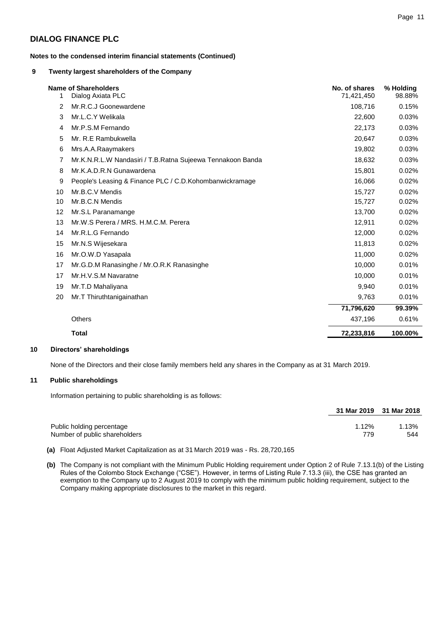**Notes to the condensed interim financial statements (Continued)**

# **9 Twenty largest shareholders of the Company**

| 1  | <b>Name of Shareholders</b><br>Dialog Axiata PLC           | No. of shares<br>71,421,450 | % Holding<br>98.88% |
|----|------------------------------------------------------------|-----------------------------|---------------------|
| 2  | Mr.R.C.J Goonewardene                                      | 108,716                     | 0.15%               |
| 3  | Mr.L.C.Y Welikala                                          | 22,600                      | 0.03%               |
| 4  | Mr.P.S.M Fernando                                          | 22,173                      | 0.03%               |
| 5  | Mr. R.E Rambukwella                                        | 20,647                      | 0.03%               |
| 6  | Mrs.A.A.Raaymakers                                         | 19,802                      | 0.03%               |
| 7  | Mr.K.N.R.L.W Nandasiri / T.B.Ratna Sujeewa Tennakoon Banda | 18,632                      | 0.03%               |
| 8  | Mr.K.A.D.R.N Gunawardena                                   | 15,801                      | 0.02%               |
| 9  | People's Leasing & Finance PLC / C.D. Kohombanwickramage   | 16,066                      | 0.02%               |
| 10 | Mr.B.C.V Mendis                                            | 15,727                      | 0.02%               |
| 10 | Mr.B.C.N Mendis                                            | 15,727                      | 0.02%               |
| 12 | Mr.S.L Paranamange                                         | 13,700                      | 0.02%               |
| 13 | Mr.W.S Perera / MRS. H.M.C.M. Perera                       | 12,911                      | 0.02%               |
| 14 | Mr.R.L.G Fernando                                          | 12,000                      | 0.02%               |
| 15 | Mr.N.S Wijesekara                                          | 11,813                      | 0.02%               |
| 16 | Mr.O.W.D Yasapala                                          | 11,000                      | 0.02%               |
| 17 | Mr.G.D.M Ranasinghe / Mr.O.R.K Ranasinghe                  | 10,000                      | 0.01%               |
| 17 | Mr.H.V.S.M Navaratne                                       | 10,000                      | 0.01%               |
| 19 | Mr.T.D Mahaliyana                                          | 9,940                       | 0.01%               |
| 20 | Mr.T Thiruthtanigainathan                                  | 9,763                       | 0.01%               |
|    |                                                            | 71,796,620                  | 99.39%              |
|    | <b>Others</b>                                              | 437,196                     | 0.61%               |
|    | <b>Total</b>                                               | 72,233,816                  | 100.00%             |

### **10 Directors' shareholdings**

None of the Directors and their close family members held any shares in the Company as at 31 March 2019.

# **11 Public shareholdings**

Information pertaining to public shareholding is as follows:

|                               |       | 31 Mar 2019 31 Mar 2018 |
|-------------------------------|-------|-------------------------|
| Public holding percentage     | 1.12% | 1.13%                   |
| Number of public shareholders | 779   | 544                     |

- **(a)** Float Adjusted Market Capitalization as at 31 March 2019 was Rs. 28,720,165
- **(b)** The Company is not compliant with the Minimum Public Holding requirement under Option 2 of Rule 7.13.1(b) of the Listing Rules of the Colombo Stock Exchange ("CSE"). However, in terms of Listing Rule 7.13.3 (iii), the CSE has granted an exemption to the Company up to 2 August 2019 to comply with the minimum public holding requirement, subject to the Company making appropriate disclosures to the market in this regard.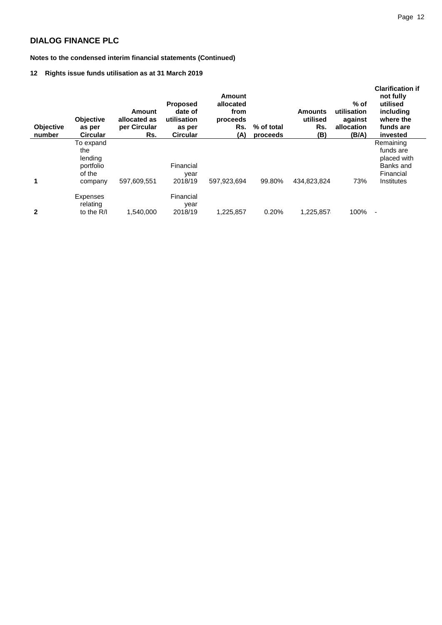**Notes to the condensed interim financial statements (Continued)**

# **12 Rights issue funds utilisation as at 31 March 2019**

| <b>Objective</b><br>number | <b>Objective</b><br>as per<br><b>Circular</b>                 | Amount<br>allocated as<br>per Circular<br>Rs. | <b>Proposed</b><br>date of<br>utilisation<br>as per<br><b>Circular</b> | Amount<br>allocated<br>from<br>proceeds<br>Rs.<br>(A) | % of total<br>proceeds | <b>Amounts</b><br>utilised<br>Rs.<br>(B) | $%$ of<br>utilisation<br>against<br>allocation<br>(B/A) | <b>Clarification if</b><br>not fully<br>utilised<br>including<br>where the<br>funds are<br>invested |
|----------------------------|---------------------------------------------------------------|-----------------------------------------------|------------------------------------------------------------------------|-------------------------------------------------------|------------------------|------------------------------------------|---------------------------------------------------------|-----------------------------------------------------------------------------------------------------|
| 1                          | To expand<br>the<br>lending<br>portfolio<br>of the<br>company | 597,609,551                                   | Financial<br>year<br>2018/19                                           | 597.923.694                                           | 99.80%                 | 434,823,824                              | 73%                                                     | Remaining<br>funds are<br>placed with<br>Banks and<br>Financial<br>Institutes                       |
| $\mathbf{2}$               | <b>Expenses</b><br>relating<br>to the $R/I$                   | 1,540,000                                     | Financial<br>year<br>2018/19                                           | 1.225.857                                             | 0.20%                  | 1,225,857                                | 100%                                                    | ٠                                                                                                   |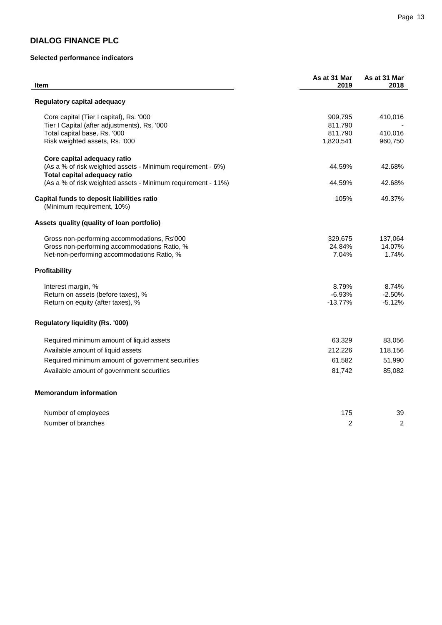# **Selected performance indicators**

| Item                                                                                                                                      | As at 31 Mar<br>2019       | As at 31 Mar<br>2018       |
|-------------------------------------------------------------------------------------------------------------------------------------------|----------------------------|----------------------------|
| Regulatory capital adequacy                                                                                                               |                            |                            |
| Core capital (Tier I capital), Rs. '000<br>Tier I Capital (after adjustments), Rs. '000                                                   | 909,795<br>811,790         | 410,016                    |
| Total capital base, Rs. '000<br>Risk weighted assets, Rs. '000                                                                            | 811,790<br>1,820,541       | 410,016<br>960,750         |
| Core capital adequacy ratio                                                                                                               |                            |                            |
| (As a % of risk weighted assets - Minimum requirement - 6%)<br>Total capital adequacy ratio                                               | 44.59%                     | 42.68%                     |
| (As a % of risk weighted assets - Minimum requirement - 11%)                                                                              | 44.59%                     | 42.68%                     |
| Capital funds to deposit liabilities ratio<br>(Minimum requirement, 10%)                                                                  | 105%                       | 49.37%                     |
| Assets quality (quality of loan portfolio)                                                                                                |                            |                            |
| Gross non-performing accommodations, Rs'000<br>Gross non-performing accommodations Ratio, %<br>Net-non-performing accommodations Ratio, % | 329,675<br>24.84%<br>7.04% | 137,064<br>14.07%<br>1.74% |
| Profitability                                                                                                                             |                            |                            |
| Interest margin, %                                                                                                                        | 8.79%                      | 8.74%                      |
| Return on assets (before taxes), %<br>Return on equity (after taxes), %                                                                   | $-6.93%$<br>$-13.77%$      | $-2.50%$<br>$-5.12%$       |
| <b>Regulatory liquidity (Rs. '000)</b>                                                                                                    |                            |                            |
| Required minimum amount of liquid assets                                                                                                  | 63,329                     | 83,056                     |
| Available amount of liquid assets                                                                                                         | 212,226                    | 118,156                    |
| Required minimum amount of government securities                                                                                          | 61,582                     | 51,990                     |
| Available amount of government securities                                                                                                 | 81,742                     | 85,082                     |
| <b>Memorandum information</b>                                                                                                             |                            |                            |
| Number of employees                                                                                                                       | 175                        | 39                         |
| Number of branches                                                                                                                        | $\overline{c}$             | $\overline{c}$             |